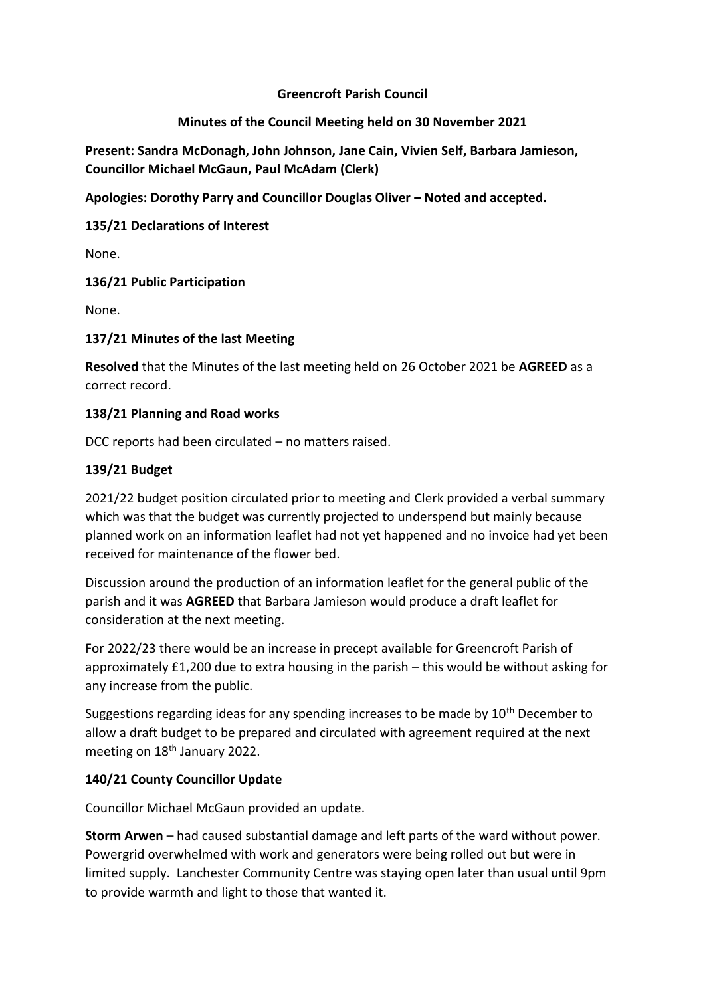### **Greencroft Parish Council**

### **Minutes of the Council Meeting held on 30 November 2021**

**Present: Sandra McDonagh, John Johnson, Jane Cain, Vivien Self, Barbara Jamieson, Councillor Michael McGaun, Paul McAdam (Clerk)**

**Apologies: Dorothy Parry and Councillor Douglas Oliver – Noted and accepted.** 

**135/21 Declarations of Interest**

None.

#### **136/21 Public Participation**

None.

#### **137/21 Minutes of the last Meeting**

**Resolved** that the Minutes of the last meeting held on 26 October 2021 be **AGREED** as a correct record.

#### **138/21 Planning and Road works**

DCC reports had been circulated – no matters raised.

#### **139/21 Budget**

2021/22 budget position circulated prior to meeting and Clerk provided a verbal summary which was that the budget was currently projected to underspend but mainly because planned work on an information leaflet had not yet happened and no invoice had yet been received for maintenance of the flower bed.

Discussion around the production of an information leaflet for the general public of the parish and it was **AGREED** that Barbara Jamieson would produce a draft leaflet for consideration at the next meeting.

For 2022/23 there would be an increase in precept available for Greencroft Parish of approximately £1,200 due to extra housing in the parish – this would be without asking for any increase from the public.

Suggestions regarding ideas for any spending increases to be made by  $10^{th}$  December to allow a draft budget to be prepared and circulated with agreement required at the next meeting on 18<sup>th</sup> January 2022.

# **140/21 County Councillor Update**

Councillor Michael McGaun provided an update.

**Storm Arwen** – had caused substantial damage and left parts of the ward without power. Powergrid overwhelmed with work and generators were being rolled out but were in limited supply. Lanchester Community Centre was staying open later than usual until 9pm to provide warmth and light to those that wanted it.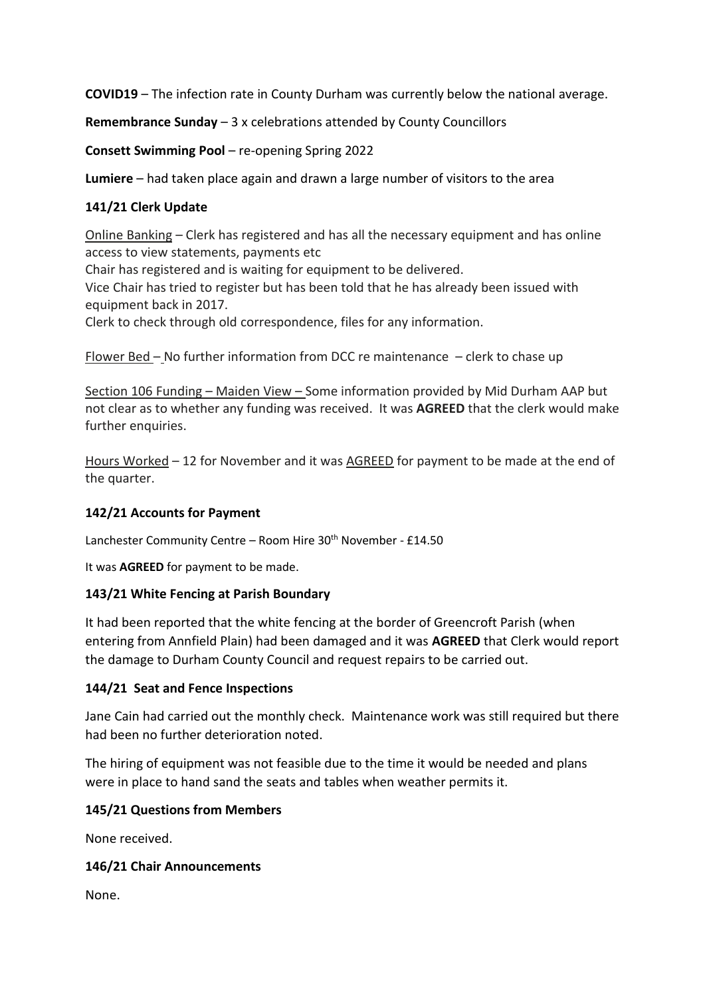**COVID19** – The infection rate in County Durham was currently below the national average.

**Remembrance Sunday** – 3 x celebrations attended by County Councillors

**Consett Swimming Pool** – re-opening Spring 2022

**Lumiere** – had taken place again and drawn a large number of visitors to the area

# **141/21 Clerk Update**

Online Banking – Clerk has registered and has all the necessary equipment and has online access to view statements, payments etc

Chair has registered and is waiting for equipment to be delivered.

Vice Chair has tried to register but has been told that he has already been issued with equipment back in 2017.

Clerk to check through old correspondence, files for any information.

Flower Bed – No further information from DCC re maintenance – clerk to chase up

Section 106 Funding – Maiden View – Some information provided by Mid Durham AAP but not clear as to whether any funding was received. It was **AGREED** that the clerk would make further enquiries.

Hours Worked – 12 for November and it was AGREED for payment to be made at the end of the quarter.

# **142/21 Accounts for Payment**

Lanchester Community Centre – Room Hire  $30<sup>th</sup>$  November - £14.50

It was **AGREED** for payment to be made.

#### **143/21 White Fencing at Parish Boundary**

It had been reported that the white fencing at the border of Greencroft Parish (when entering from Annfield Plain) had been damaged and it was **AGREED** that Clerk would report the damage to Durham County Council and request repairs to be carried out.

#### **144/21 Seat and Fence Inspections**

Jane Cain had carried out the monthly check. Maintenance work was still required but there had been no further deterioration noted.

The hiring of equipment was not feasible due to the time it would be needed and plans were in place to hand sand the seats and tables when weather permits it.

# **145/21 Questions from Members**

None received.

# **146/21 Chair Announcements**

None.